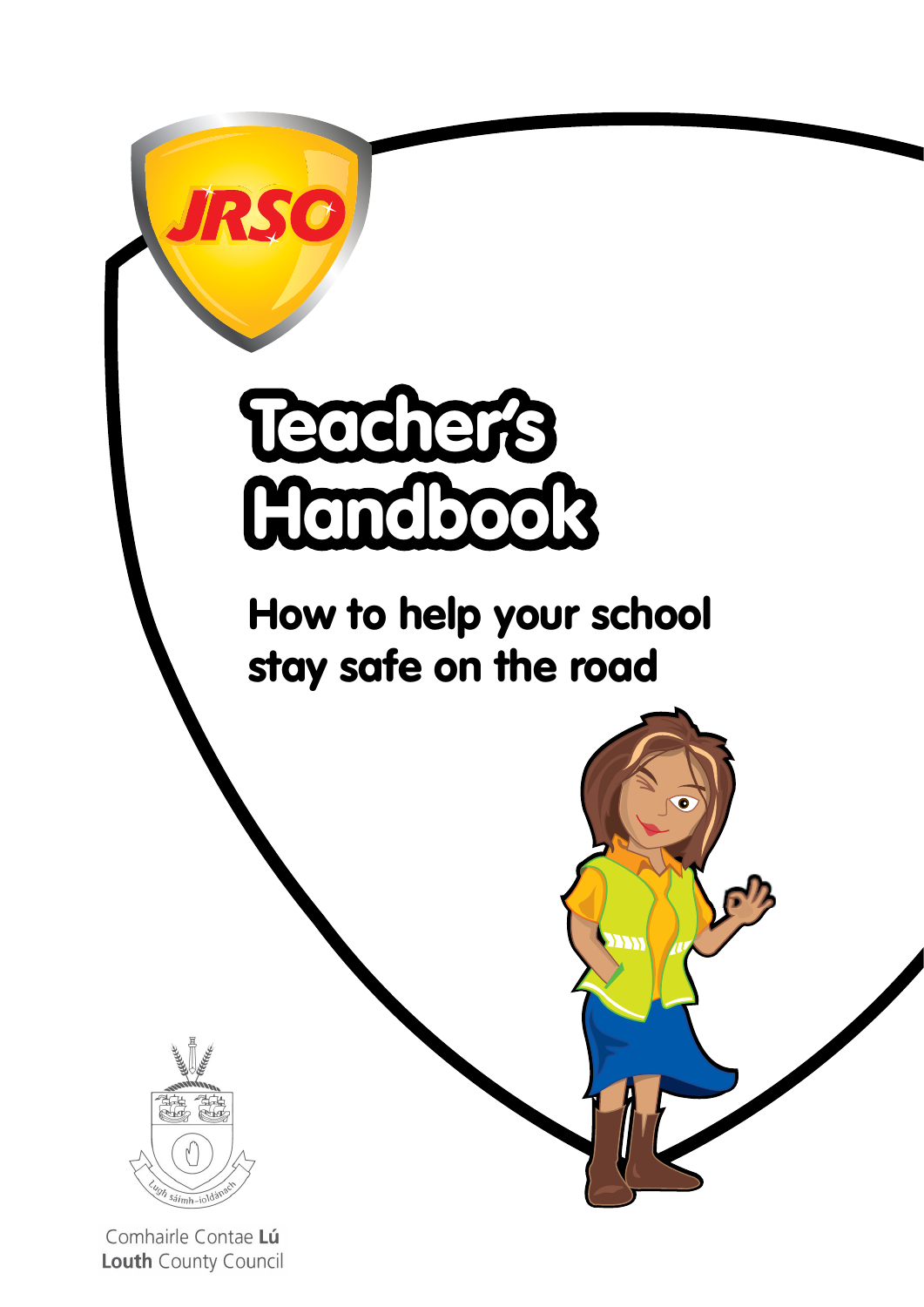

Comhairle Contae Lú Louth County Council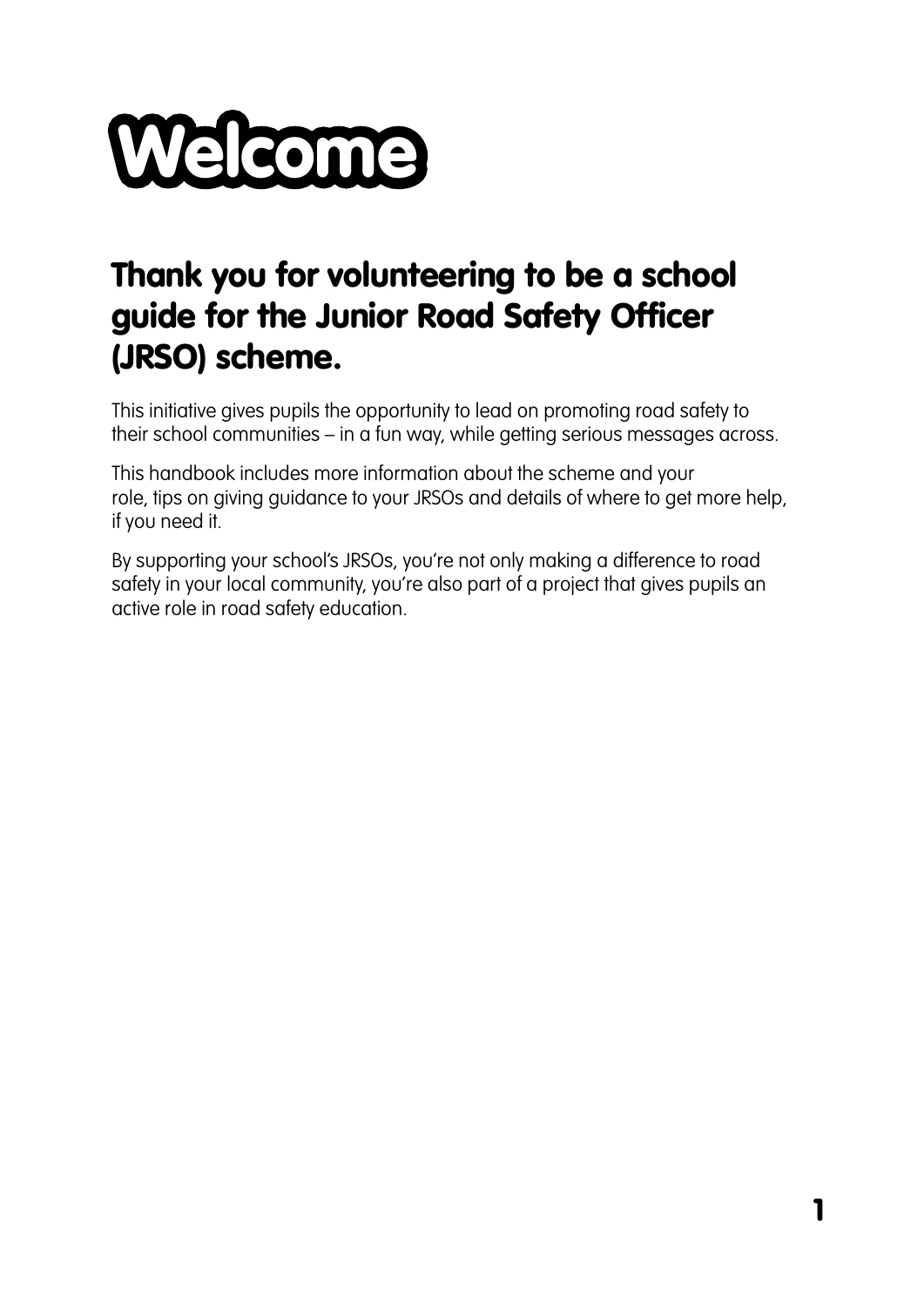

## Thank you for volunteering to be a school guide for the Junior Road Safety Officer (JRSO) scheme.

This initiative gives pupils the opportunity to lead on promoting road safety to their school communities – in a fun way, while getting serious messages across.

This handbook includes more information about the scheme and your role, tips on giving guidance to your JRSOs and details of where to get more help, if you need it.

By supporting your school's JRSOs, you're not only making a difference to road safety in your local community, you're also part of a project that gives pupils an active role in road safety education.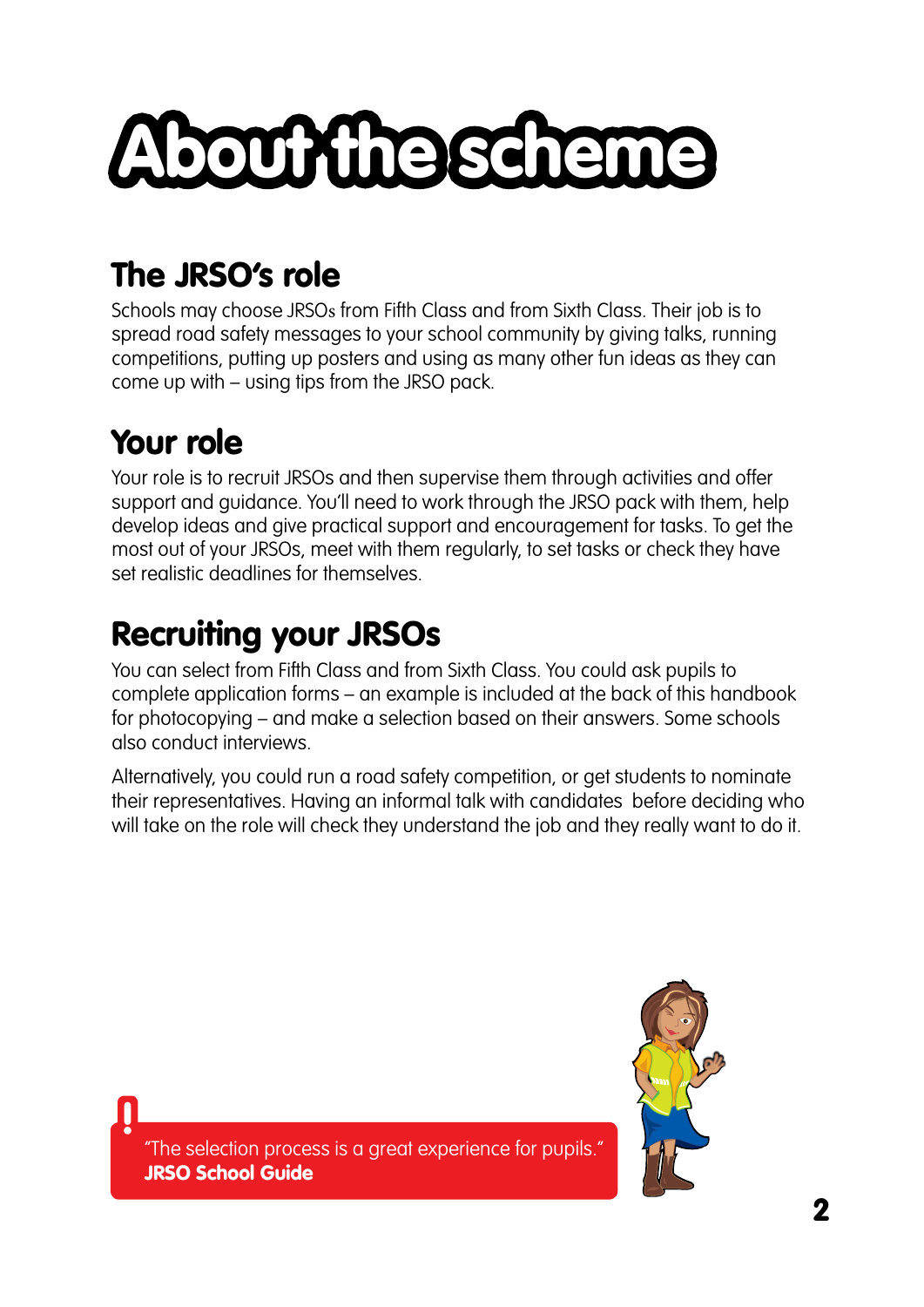# About the scheme

# The JRSO's role

Schools may choose JRSOs from Fifth Class and from Sixth Class. Their job is to spread road safety messages to your school community by giving talks, running competitions, putting up posters and using as many other fun ideas as they can come up with – using tips from the JRSO pack.

# Your role

**!** 

Your role is to recruit JRSOs and then supervise them through activities and offer support and guidance. You'll need to work through the JRSO pack with them, help develop ideas and give practical support and encouragement for tasks. To get the most out of your JRSOs, meet with them regularly, to set tasks or check they have set realistic deadlines for themselves.

# Recruiting your JRSOs

You can select from Fifth Class and from Sixth Class. You could ask pupils to complete application forms – an example is included at the back of this handbook for photocopying – and make a selection based on their answers. Some schools also conduct interviews.

Alternatively, you could run a road safety competition, or get students to nominate their representatives. Having an informal talk with candidates before deciding who will take on the role will check they understand the job and they really want to do it.



"The selection process is a great experience for pupils." JRSO School Guide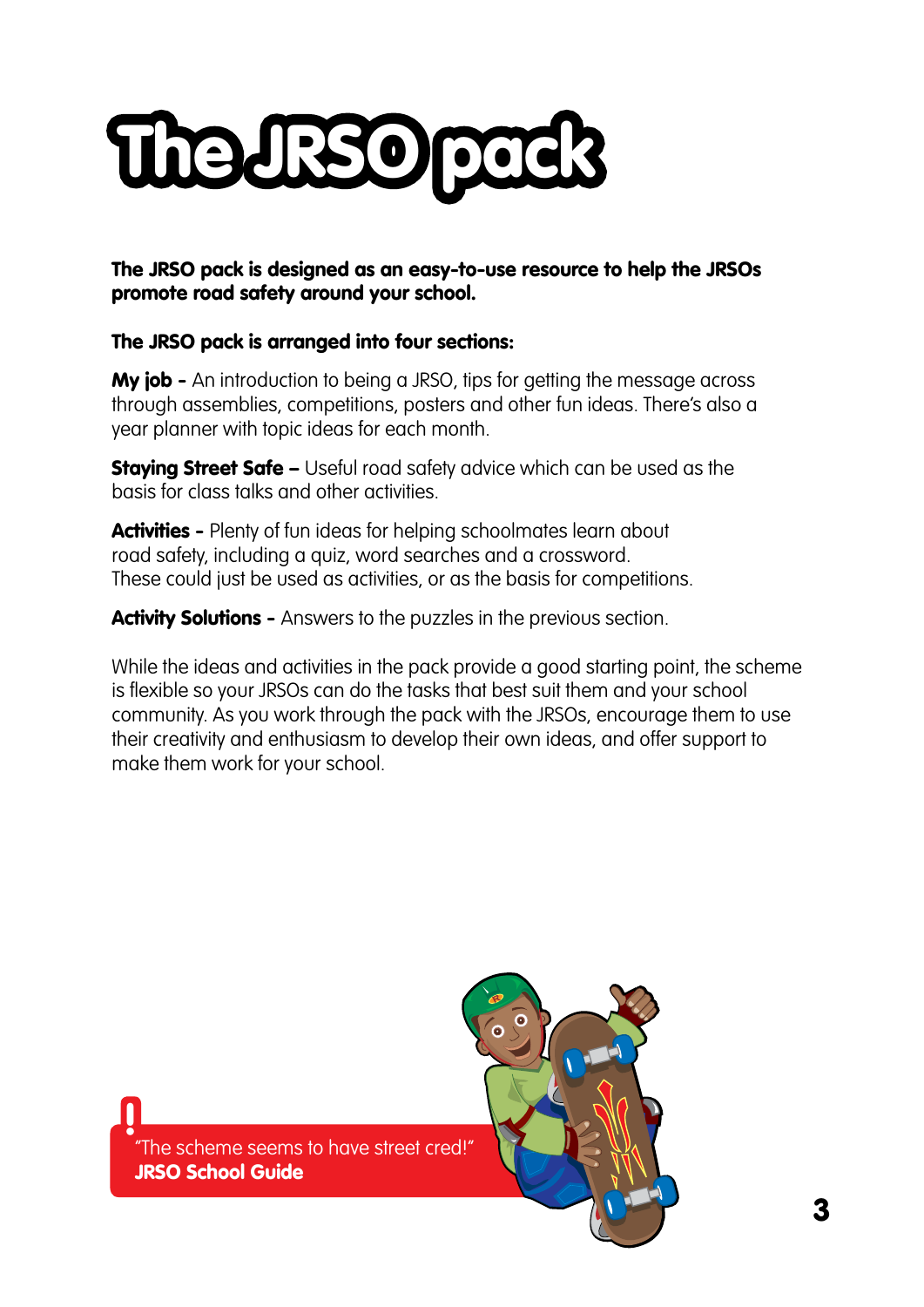

The JRSO pack is designed as an easy-to-use resource to help the JRSOs promote road safety around your school.

#### The JRSO pack is arranged into four sections:

**My job -** An introduction to being a JRSO, tips for getting the message across through assemblies, competitions, posters and other fun ideas. There's also a year planner with topic ideas for each month.

**Staying Street Safe –** Useful road safety advice which can be used as the basis for class talks and other activities.

Activities - Plenty of fun ideas for helping schoolmates learn about road safety, including a quiz, word searches and a crossword. These could just be used as activities, or as the basis for competitions.

Activity Solutions - Answers to the puzzles in the previous section.

While the ideas and activities in the pack provide a good starting point, the scheme is flexible so your JRSOs can do the tasks that best suit them and your school community. As you work through the pack with the JRSOs, encourage them to use their creativity and enthusiasm to develop their own ideas, and offer support to make them work for your school.

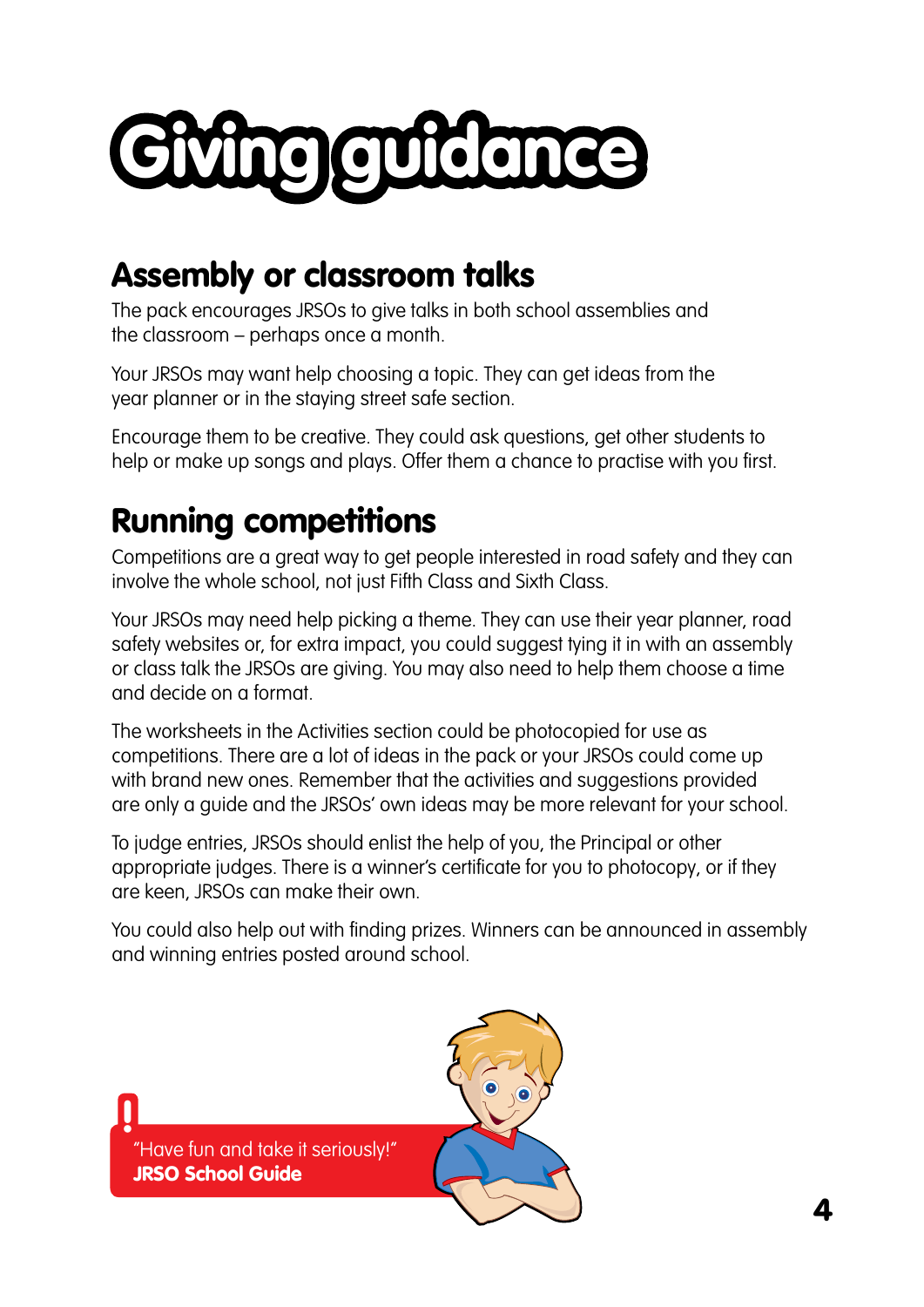

### Assembly or classroom talks

The pack encourages JRSOs to give talks in both school assemblies and the classroom – perhaps once a month.

Your JRSOs may want help choosing a topic. They can get ideas from the year planner or in the staying street safe section.

Encourage them to be creative. They could ask questions, get other students to help or make up songs and plays. Offer them a chance to practise with you first.

# Running competitions

Competitions are a great way to get people interested in road safety and they can involve the whole school, not just Fifth Class and Sixth Class.

Your JRSOs may need help picking a theme. They can use their year planner, road safety websites or, for extra impact, you could suggest tying it in with an assembly or class talk the JRSOs are giving. You may also need to help them choose a time and decide on a format.

The worksheets in the Activities section could be photocopied for use as competitions. There are a lot of ideas in the pack or your JRSOs could come up with brand new ones. Remember that the activities and suggestions provided are only a guide and the JRSOs' own ideas may be more relevant for your school.

To judge entries, JRSOs should enlist the help of you, the Principal or other appropriate judges. There is a winner's certificate for you to photocopy, or if they are keen, JRSOs can make their own.

You could also help out with finding prizes. Winners can be announced in assembly and winning entries posted around school.

**!** "Have fun and take it seriously!" JRSO School Guide

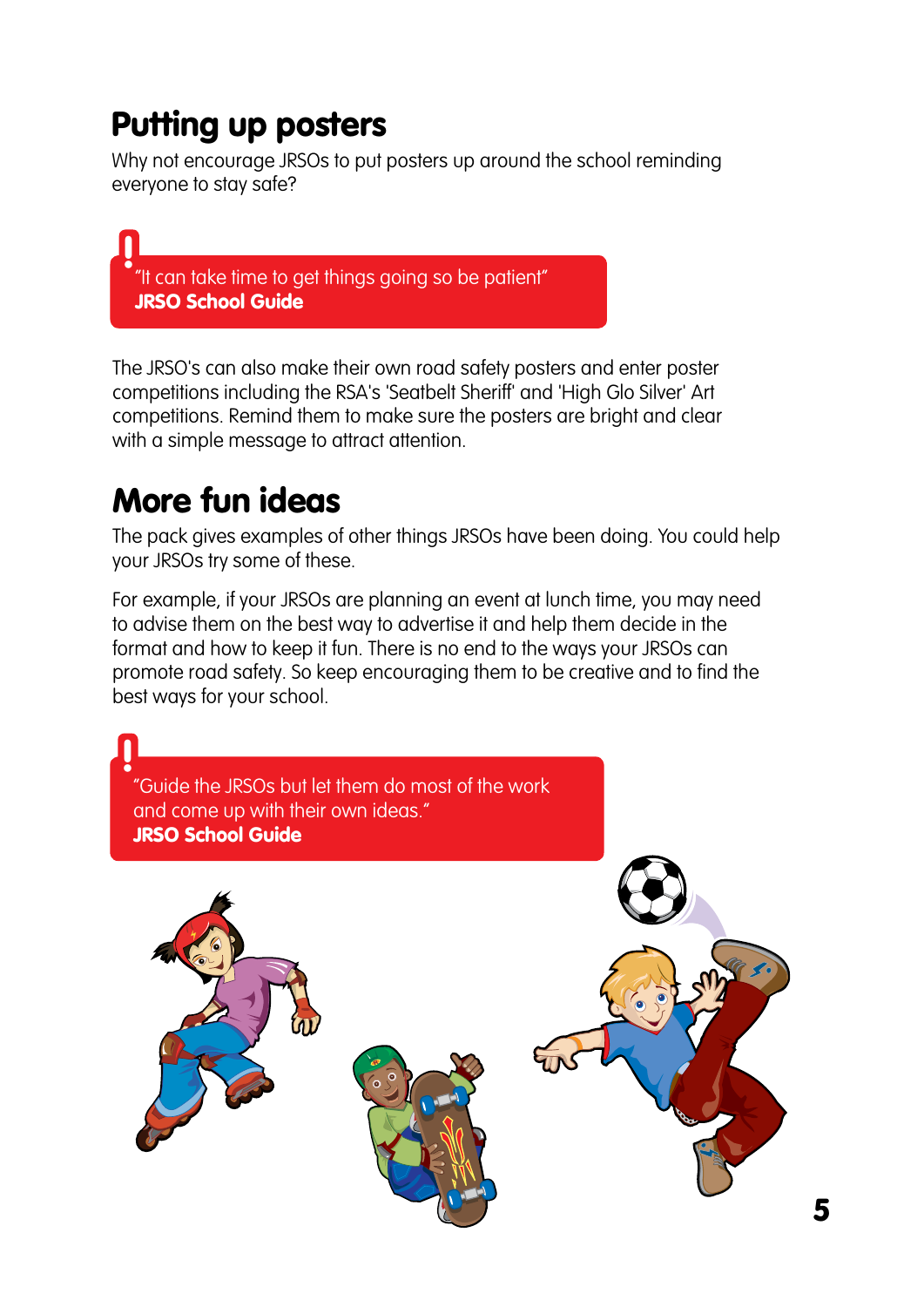## Putting up posters

Why not encourage JRSOs to put posters up around the school reminding everyone to stay safe?

**!** "It can take time to get things going so be patient" JRSO School Guide

The JRSO's can also make their own road safety posters and enter poster competitions including the RSA's 'Seatbelt Sheriff' and 'High Glo Silver' Art competitions. Remind them to make sure the posters are bright and clear with a simple message to attract attention.

## More fun ideas

The pack gives examples of other things JRSOs have been doing. You could help your JRSOs try some of these.

For example, if your JRSOs are planning an event at lunch time, you may need to advise them on the best way to advertise it and help them decide in the format and how to keep it fun. There is no end to the ways your JRSOs can promote road safety. So keep encouraging them to be creative and to find the best ways for your school.

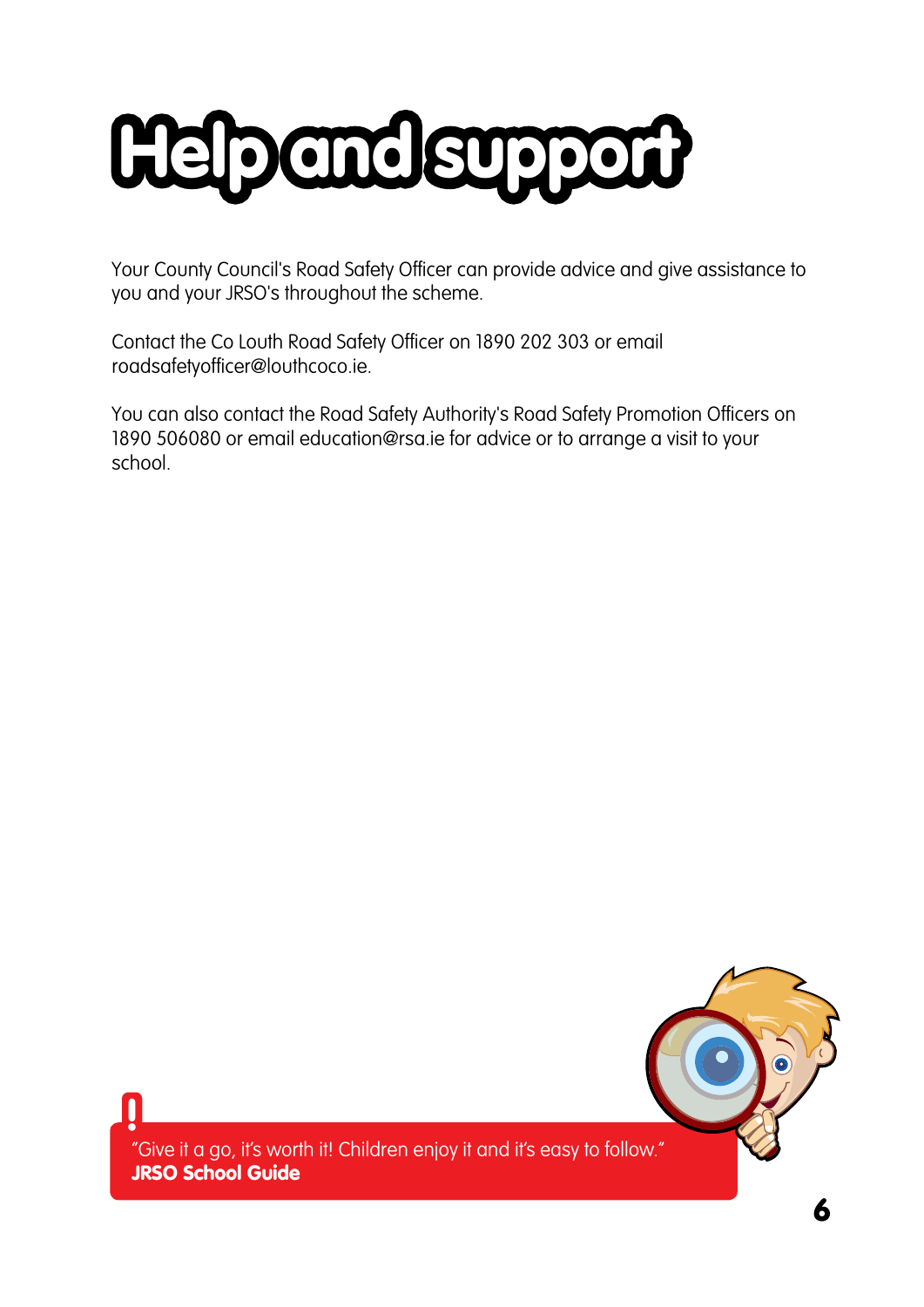

Your County Council's Road Safety Officer can provide advice and give assistance to you and your JRSO's throughout the scheme.

Contact the Co Louth Road Safety Officer on 1890 202 303 or email [roadsafetyofficer@louthcoco.ie.](mailto:roadsafetyofficer@monaghancoco.ie.)

You can also contact the Road Safety Authority's Road Safety Promotion Officers on 1890 506080 or email [education@rsa.ie](mailto:education@rsa.ie) for advice or to arrange a visit to your school.